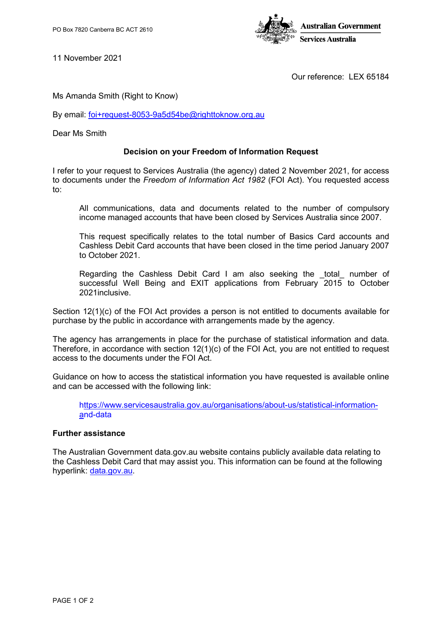

11 November 2021

Our reference: LEX 65184

Ms Amanda Smith (Right to Know)

By email: [foi+request-8053-9a5d54be@righttoknow.org.au](mailto:xxxxxxxxxxxxxxxxxxxxxxxxx@xxxxxxxxxxx.xxx.xx)

Dear Ms Smith

## **Decision on your Freedom of Information Request**

I refer to your request to Services Australia (the agency) dated 2 November 2021, for access to documents under the *Freedom of Information Act 1982* (FOI Act). You requested access to:

All communications, data and documents related to the number of compulsory income managed accounts that have been closed by Services Australia since 2007.

This request specifically relates to the total number of Basics Card accounts and Cashless Debit Card accounts that have been closed in the time period January 2007 to October 2021.

Regarding the Cashless Debit Card I am also seeking the total number of successful Well Being and EXIT applications from February 2015 to October 2021inclusive.

Section 12(1)(c) of the FOI Act provides a person is not entitled to documents available for purchase by the public in accordance with arrangements made by the agency.

The agency has arrangements in place for the purchase of statistical information and data. Therefore, in accordance with section 12(1)(c) of the FOI Act, you are not entitled to request access to the documents under the FOI Act.

Guidance on how to access the statistical information you have requested is available online and can be accessed with the following link:

[https://www.servicesaustralia.gov.au/organisations/about-us/statistical-information](ttps://www.servicesaustralia.gov.au/organisations/about-us/statistical-information-a)[an](ttps://www.servicesaustralia.gov.au/organisations/about-us/statistical-information-a)d-data

## **Further assistance**

The Australian Government data.gov.au website contains publicly available data relating to the Cashless Debit Card that may assist you. This information can be found at the following hyperlink: [data.gov.au.](https://data.gov.au/dataset/ds-dga-e5a6ca38-b17c-4e65-af70-84e7759a0ffa/details?q=cashless%20debit%20card)